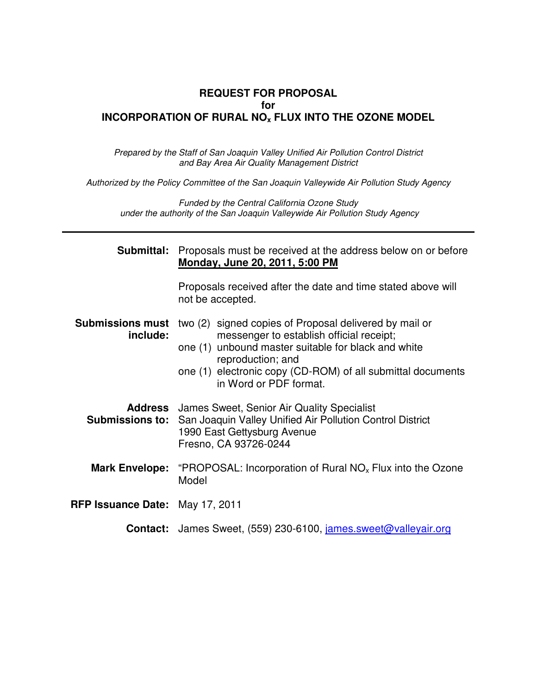#### **REQUEST FOR PROPOSAL for INCORPORATION OF RURAL NOx FLUX INTO THE OZONE MODEL**

Prepared by the Staff of San Joaquin Valley Unified Air Pollution Control District and Bay Area Air Quality Management District

Authorized by the Policy Committee of the San Joaquin Valleywide Air Pollution Study Agency

Funded by the Central California Ozone Study under the authority of the San Joaquin Valleywide Air Pollution Study Agency

| Submittal:                             | Proposals must be received at the address below on or before<br><b>Monday, June 20, 2011, 5:00 PM</b>                                                                                                                                                                   |  |  |  |  |  |
|----------------------------------------|-------------------------------------------------------------------------------------------------------------------------------------------------------------------------------------------------------------------------------------------------------------------------|--|--|--|--|--|
|                                        | Proposals received after the date and time stated above will<br>not be accepted.                                                                                                                                                                                        |  |  |  |  |  |
| <b>Submissions must</b><br>include:    | two (2) signed copies of Proposal delivered by mail or<br>messenger to establish official receipt;<br>one (1) unbound master suitable for black and white<br>reproduction; and<br>one (1) electronic copy (CD-ROM) of all submittal documents<br>in Word or PDF format. |  |  |  |  |  |
| <b>Submissions to:</b>                 | <b>Address</b> James Sweet, Senior Air Quality Specialist<br>San Joaquin Valley Unified Air Pollution Control District<br>1990 East Gettysburg Avenue<br>Fresno, CA 93726-0244                                                                                          |  |  |  |  |  |
| <b>Mark Envelope:</b>                  | "PROPOSAL: Incorporation of Rural $NOx$ Flux into the Ozone<br>Model                                                                                                                                                                                                    |  |  |  |  |  |
| <b>RFP Issuance Date: May 17, 2011</b> |                                                                                                                                                                                                                                                                         |  |  |  |  |  |
|                                        | <b>Contact:</b> James Sweet, (559) 230-6100, <i>james sweet@valleyair org</i>                                                                                                                                                                                           |  |  |  |  |  |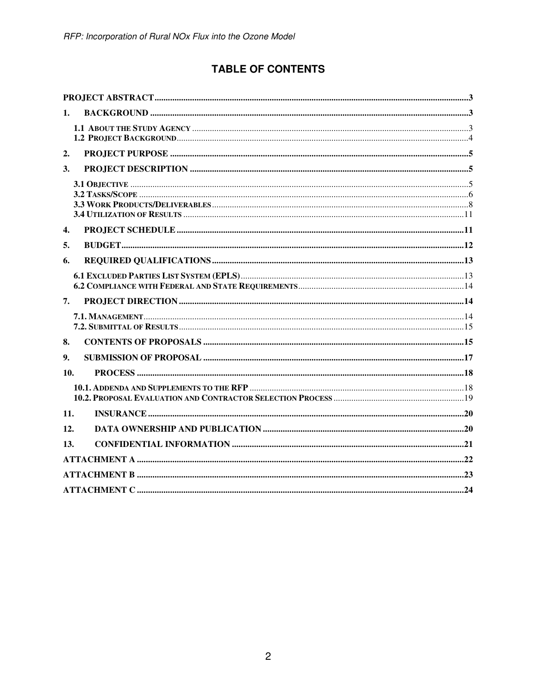# **TABLE OF CONTENTS**

| 1.  |  |
|-----|--|
|     |  |
| 2.  |  |
| 3.  |  |
|     |  |
| 4.  |  |
| 5.  |  |
| 6.  |  |
|     |  |
| 7.  |  |
|     |  |
| 8.  |  |
| 9.  |  |
| 10. |  |
|     |  |
| 11. |  |
|     |  |
| 12. |  |
| 13. |  |
|     |  |
|     |  |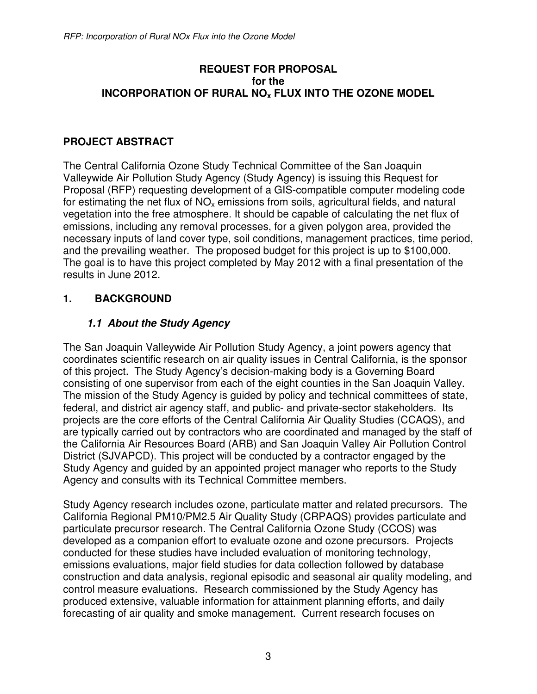#### **REQUEST FOR PROPOSAL for the INCORPORATION OF RURAL NOx FLUX INTO THE OZONE MODEL**

## **PROJECT ABSTRACT**

The Central California Ozone Study Technical Committee of the San Joaquin Valleywide Air Pollution Study Agency (Study Agency) is issuing this Request for Proposal (RFP) requesting development of a GIS-compatible computer modeling code for estimating the net flux of  $NO<sub>x</sub>$  emissions from soils, agricultural fields, and natural vegetation into the free atmosphere. It should be capable of calculating the net flux of emissions, including any removal processes, for a given polygon area, provided the necessary inputs of land cover type, soil conditions, management practices, time period, and the prevailing weather. The proposed budget for this project is up to \$100,000. The goal is to have this project completed by May 2012 with a final presentation of the results in June 2012.

### **1. BACKGROUND**

## **1.1 About the Study Agency**

The San Joaquin Valleywide Air Pollution Study Agency, a joint powers agency that coordinates scientific research on air quality issues in Central California, is the sponsor of this project. The Study Agency's decision-making body is a Governing Board consisting of one supervisor from each of the eight counties in the San Joaquin Valley. The mission of the Study Agency is guided by policy and technical committees of state, federal, and district air agency staff, and public- and private-sector stakeholders. Its projects are the core efforts of the Central California Air Quality Studies (CCAQS), and are typically carried out by contractors who are coordinated and managed by the staff of the California Air Resources Board (ARB) and San Joaquin Valley Air Pollution Control District (SJVAPCD). This project will be conducted by a contractor engaged by the Study Agency and guided by an appointed project manager who reports to the Study Agency and consults with its Technical Committee members.

Study Agency research includes ozone, particulate matter and related precursors. The California Regional PM10/PM2.5 Air Quality Study (CRPAQS) provides particulate and particulate precursor research. The Central California Ozone Study (CCOS) was developed as a companion effort to evaluate ozone and ozone precursors. Projects conducted for these studies have included evaluation of monitoring technology, emissions evaluations, major field studies for data collection followed by database construction and data analysis, regional episodic and seasonal air quality modeling, and control measure evaluations. Research commissioned by the Study Agency has produced extensive, valuable information for attainment planning efforts, and daily forecasting of air quality and smoke management. Current research focuses on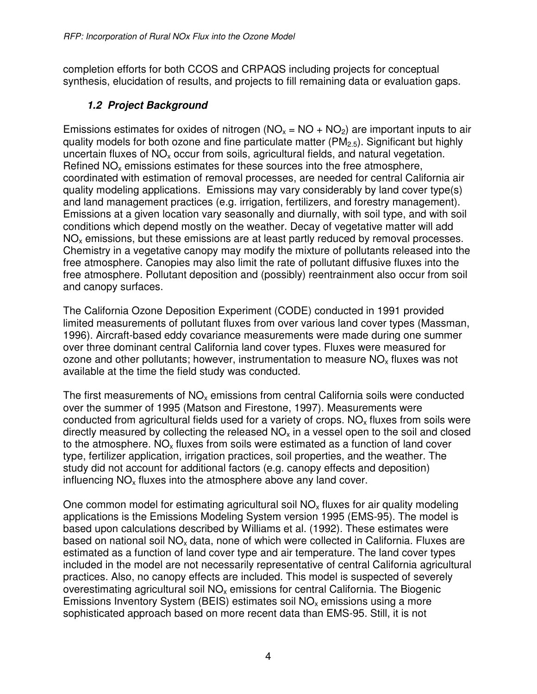completion efforts for both CCOS and CRPAQS including projects for conceptual synthesis, elucidation of results, and projects to fill remaining data or evaluation gaps.

# **1.2 Project Background**

Emissions estimates for oxides of nitrogen ( $NO<sub>x</sub> = NO + NO<sub>2</sub>$ ) are important inputs to air quality models for both ozone and fine particulate matter ( $PM<sub>2.5</sub>$ ). Significant but highly uncertain fluxes of  $NO<sub>x</sub>$  occur from soils, agricultural fields, and natural vegetation. Refined  $NO<sub>x</sub>$  emissions estimates for these sources into the free atmosphere, coordinated with estimation of removal processes, are needed for central California air quality modeling applications. Emissions may vary considerably by land cover type(s) and land management practices (e.g. irrigation, fertilizers, and forestry management). Emissions at a given location vary seasonally and diurnally, with soil type, and with soil conditions which depend mostly on the weather. Decay of vegetative matter will add  $NO<sub>x</sub>$  emissions, but these emissions are at least partly reduced by removal processes. Chemistry in a vegetative canopy may modify the mixture of pollutants released into the free atmosphere. Canopies may also limit the rate of pollutant diffusive fluxes into the free atmosphere. Pollutant deposition and (possibly) reentrainment also occur from soil and canopy surfaces.

The California Ozone Deposition Experiment (CODE) conducted in 1991 provided limited measurements of pollutant fluxes from over various land cover types (Massman, 1996). Aircraft-based eddy covariance measurements were made during one summer over three dominant central California land cover types. Fluxes were measured for ozone and other pollutants; however, instrumentation to measure  $NO<sub>x</sub>$  fluxes was not available at the time the field study was conducted.

The first measurements of  $NO<sub>x</sub>$  emissions from central California soils were conducted over the summer of 1995 (Matson and Firestone, 1997). Measurements were conducted from agricultural fields used for a variety of crops.  $NO<sub>x</sub>$  fluxes from soils were directly measured by collecting the released  $NO<sub>x</sub>$  in a vessel open to the soil and closed to the atmosphere.  $NO_x$  fluxes from soils were estimated as a function of land cover type, fertilizer application, irrigation practices, soil properties, and the weather. The study did not account for additional factors (e.g. canopy effects and deposition) influencing  $NO<sub>x</sub>$  fluxes into the atmosphere above any land cover.

One common model for estimating agricultural soil  $NO<sub>x</sub>$  fluxes for air quality modeling applications is the Emissions Modeling System version 1995 (EMS-95). The model is based upon calculations described by Williams et al. (1992). These estimates were based on national soil  $NO<sub>x</sub>$  data, none of which were collected in California. Fluxes are estimated as a function of land cover type and air temperature. The land cover types included in the model are not necessarily representative of central California agricultural practices. Also, no canopy effects are included. This model is suspected of severely overestimating agricultural soil  $NO<sub>x</sub>$  emissions for central California. The Biogenic Emissions Inventory System (BEIS) estimates soil  $NO<sub>x</sub>$  emissions using a more sophisticated approach based on more recent data than EMS-95. Still, it is not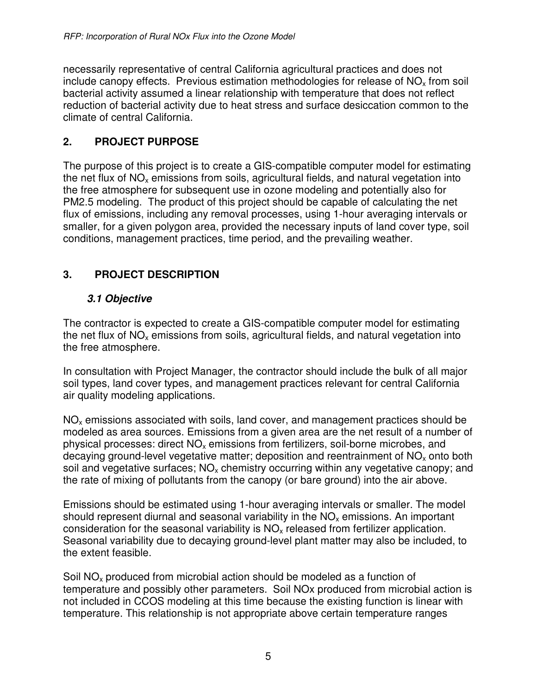necessarily representative of central California agricultural practices and does not include canopy effects. Previous estimation methodologies for release of  $NO<sub>x</sub>$  from soil bacterial activity assumed a linear relationship with temperature that does not reflect reduction of bacterial activity due to heat stress and surface desiccation common to the climate of central California.

## **2. PROJECT PURPOSE**

The purpose of this project is to create a GIS-compatible computer model for estimating the net flux of  $NO<sub>x</sub>$  emissions from soils, agricultural fields, and natural vegetation into the free atmosphere for subsequent use in ozone modeling and potentially also for PM2.5 modeling. The product of this project should be capable of calculating the net flux of emissions, including any removal processes, using 1-hour averaging intervals or smaller, for a given polygon area, provided the necessary inputs of land cover type, soil conditions, management practices, time period, and the prevailing weather.

# **3. PROJECT DESCRIPTION**

## **3.1 Objective**

The contractor is expected to create a GIS-compatible computer model for estimating the net flux of  $NO<sub>x</sub>$  emissions from soils, agricultural fields, and natural vegetation into the free atmosphere.

In consultation with Project Manager, the contractor should include the bulk of all major soil types, land cover types, and management practices relevant for central California air quality modeling applications.

 $NO<sub>x</sub>$  emissions associated with soils, land cover, and management practices should be modeled as area sources. Emissions from a given area are the net result of a number of physical processes: direct  $NO<sub>x</sub>$  emissions from fertilizers, soil-borne microbes, and decaying ground-level vegetative matter; deposition and reentrainment of  $NO<sub>x</sub>$  onto both soil and vegetative surfaces;  $NO<sub>x</sub>$  chemistry occurring within any vegetative canopy; and the rate of mixing of pollutants from the canopy (or bare ground) into the air above.

Emissions should be estimated using 1-hour averaging intervals or smaller. The model should represent diurnal and seasonal variability in the  $NO<sub>x</sub>$  emissions. An important consideration for the seasonal variability is  $NO<sub>x</sub>$  released from fertilizer application. Seasonal variability due to decaying ground-level plant matter may also be included, to the extent feasible.

Soil  $NO<sub>x</sub>$  produced from microbial action should be modeled as a function of temperature and possibly other parameters. Soil NOx produced from microbial action is not included in CCOS modeling at this time because the existing function is linear with temperature. This relationship is not appropriate above certain temperature ranges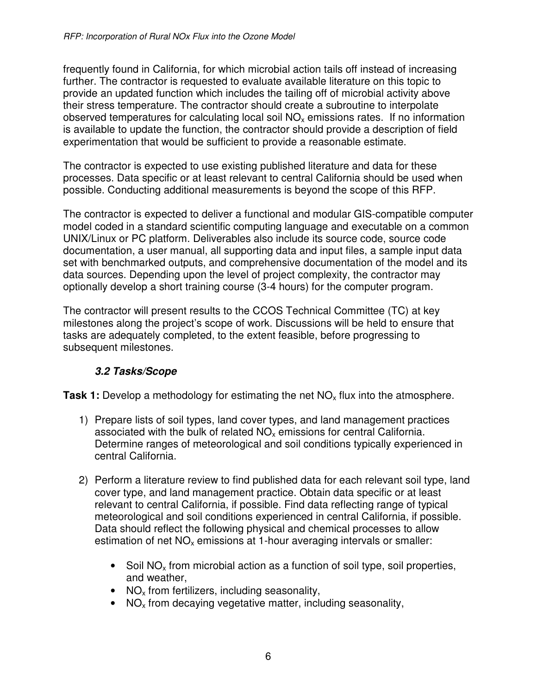frequently found in California, for which microbial action tails off instead of increasing further. The contractor is requested to evaluate available literature on this topic to provide an updated function which includes the tailing off of microbial activity above their stress temperature. The contractor should create a subroutine to interpolate observed temperatures for calculating local soil  $NO<sub>x</sub>$  emissions rates. If no information is available to update the function, the contractor should provide a description of field experimentation that would be sufficient to provide a reasonable estimate.

The contractor is expected to use existing published literature and data for these processes. Data specific or at least relevant to central California should be used when possible. Conducting additional measurements is beyond the scope of this RFP.

The contractor is expected to deliver a functional and modular GIS-compatible computer model coded in a standard scientific computing language and executable on a common UNIX/Linux or PC platform. Deliverables also include its source code, source code documentation, a user manual, all supporting data and input files, a sample input data set with benchmarked outputs, and comprehensive documentation of the model and its data sources. Depending upon the level of project complexity, the contractor may optionally develop a short training course (3-4 hours) for the computer program.

The contractor will present results to the CCOS Technical Committee (TC) at key milestones along the project's scope of work. Discussions will be held to ensure that tasks are adequately completed, to the extent feasible, before progressing to subsequent milestones.

### **3.2 Tasks/Scope**

**Task 1:** Develop a methodology for estimating the net  $NO<sub>x</sub>$  flux into the atmosphere.

- 1) Prepare lists of soil types, land cover types, and land management practices associated with the bulk of related  $NO<sub>x</sub>$  emissions for central California. Determine ranges of meteorological and soil conditions typically experienced in central California.
- 2) Perform a literature review to find published data for each relevant soil type, land cover type, and land management practice. Obtain data specific or at least relevant to central California, if possible. Find data reflecting range of typical meteorological and soil conditions experienced in central California, if possible. Data should reflect the following physical and chemical processes to allow estimation of net  $NO<sub>x</sub>$  emissions at 1-hour averaging intervals or smaller:
	- Soil  $NO<sub>x</sub>$  from microbial action as a function of soil type, soil properties, and weather,
	- NO<sub>x</sub> from fertilizers, including seasonality,
	- NO<sub>x</sub> from decaying vegetative matter, including seasonality,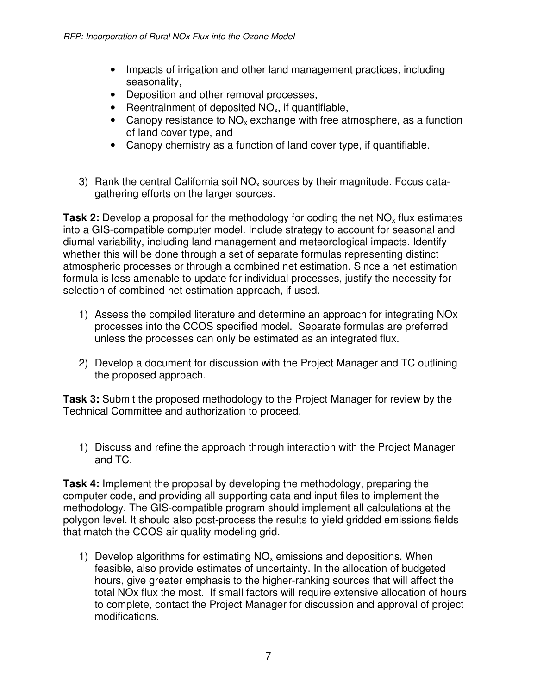- Impacts of irrigation and other land management practices, including seasonality,
- Deposition and other removal processes,
- Reentrainment of deposited  $NO<sub>x</sub>$ , if quantifiable,
- Canopy resistance to  $NO<sub>x</sub>$  exchange with free atmosphere, as a function of land cover type, and
- Canopy chemistry as a function of land cover type, if quantifiable.
- 3) Rank the central California soil  $NO<sub>x</sub>$  sources by their magnitude. Focus datagathering efforts on the larger sources.

**Task 2:** Develop a proposal for the methodology for coding the net NO<sub>x</sub> flux estimates into a GIS-compatible computer model. Include strategy to account for seasonal and diurnal variability, including land management and meteorological impacts. Identify whether this will be done through a set of separate formulas representing distinct atmospheric processes or through a combined net estimation. Since a net estimation formula is less amenable to update for individual processes, justify the necessity for selection of combined net estimation approach, if used.

- 1) Assess the compiled literature and determine an approach for integrating NOx processes into the CCOS specified model. Separate formulas are preferred unless the processes can only be estimated as an integrated flux.
- 2) Develop a document for discussion with the Project Manager and TC outlining the proposed approach.

**Task 3:** Submit the proposed methodology to the Project Manager for review by the Technical Committee and authorization to proceed.

1) Discuss and refine the approach through interaction with the Project Manager and TC.

**Task 4:** Implement the proposal by developing the methodology, preparing the computer code, and providing all supporting data and input files to implement the methodology. The GIS-compatible program should implement all calculations at the polygon level. It should also post-process the results to yield gridded emissions fields that match the CCOS air quality modeling grid.

1) Develop algorithms for estimating  $NO<sub>x</sub>$  emissions and depositions. When feasible, also provide estimates of uncertainty. In the allocation of budgeted hours, give greater emphasis to the higher-ranking sources that will affect the total NOx flux the most. If small factors will require extensive allocation of hours to complete, contact the Project Manager for discussion and approval of project modifications.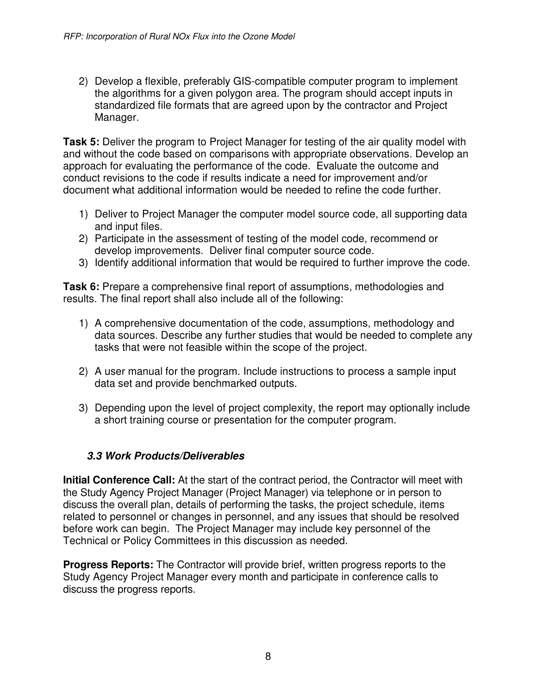2) Develop a flexible, preferably GIS-compatible computer program to implement the algorithms for a given polygon area. The program should accept inputs in standardized file formats that are agreed upon by the contractor and Project Manager.

**Task 5:** Deliver the program to Project Manager for testing of the air quality model with and without the code based on comparisons with appropriate observations. Develop an approach for evaluating the performance of the code. Evaluate the outcome and conduct revisions to the code if results indicate a need for improvement and/or document what additional information would be needed to refine the code further.

- 1) Deliver to Project Manager the computer model source code, all supporting data and input files.
- 2) Participate in the assessment of testing of the model code, recommend or develop improvements. Deliver final computer source code.
- 3) Identify additional information that would be required to further improve the code.

**Task 6:** Prepare a comprehensive final report of assumptions, methodologies and results. The final report shall also include all of the following:

- 1) A comprehensive documentation of the code, assumptions, methodology and data sources. Describe any further studies that would be needed to complete any tasks that were not feasible within the scope of the project.
- 2) A user manual for the program. Include instructions to process a sample input data set and provide benchmarked outputs.
- 3) Depending upon the level of project complexity, the report may optionally include a short training course or presentation for the computer program.

### **3.3 Work Products/Deliverables**

**Initial Conference Call:** At the start of the contract period, the Contractor will meet with the Study Agency Project Manager (Project Manager) via telephone or in person to discuss the overall plan, details of performing the tasks, the project schedule, items related to personnel or changes in personnel, and any issues that should be resolved before work can begin. The Project Manager may include key personnel of the Technical or Policy Committees in this discussion as needed.

**Progress Reports:** The Contractor will provide brief, written progress reports to the Study Agency Project Manager every month and participate in conference calls to discuss the progress reports.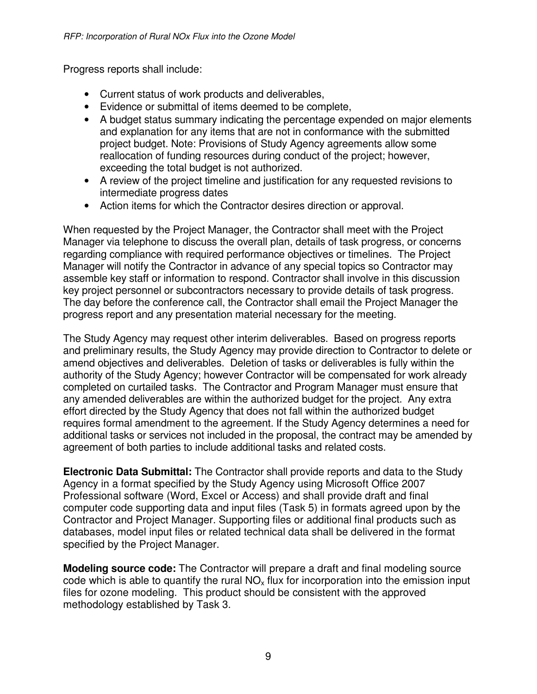Progress reports shall include:

- Current status of work products and deliverables,
- Evidence or submittal of items deemed to be complete,
- A budget status summary indicating the percentage expended on major elements and explanation for any items that are not in conformance with the submitted project budget. Note: Provisions of Study Agency agreements allow some reallocation of funding resources during conduct of the project; however, exceeding the total budget is not authorized.
- A review of the project timeline and justification for any requested revisions to intermediate progress dates
- Action items for which the Contractor desires direction or approval.

When requested by the Project Manager, the Contractor shall meet with the Project Manager via telephone to discuss the overall plan, details of task progress, or concerns regarding compliance with required performance objectives or timelines. The Project Manager will notify the Contractor in advance of any special topics so Contractor may assemble key staff or information to respond. Contractor shall involve in this discussion key project personnel or subcontractors necessary to provide details of task progress. The day before the conference call, the Contractor shall email the Project Manager the progress report and any presentation material necessary for the meeting.

The Study Agency may request other interim deliverables. Based on progress reports and preliminary results, the Study Agency may provide direction to Contractor to delete or amend objectives and deliverables. Deletion of tasks or deliverables is fully within the authority of the Study Agency; however Contractor will be compensated for work already completed on curtailed tasks. The Contractor and Program Manager must ensure that any amended deliverables are within the authorized budget for the project. Any extra effort directed by the Study Agency that does not fall within the authorized budget requires formal amendment to the agreement. If the Study Agency determines a need for additional tasks or services not included in the proposal, the contract may be amended by agreement of both parties to include additional tasks and related costs.

**Electronic Data Submittal:** The Contractor shall provide reports and data to the Study Agency in a format specified by the Study Agency using Microsoft Office 2007 Professional software (Word, Excel or Access) and shall provide draft and final computer code supporting data and input files (Task 5) in formats agreed upon by the Contractor and Project Manager. Supporting files or additional final products such as databases, model input files or related technical data shall be delivered in the format specified by the Project Manager.

**Modeling source code:** The Contractor will prepare a draft and final modeling source code which is able to quantify the rural  $NO<sub>x</sub>$  flux for incorporation into the emission input files for ozone modeling. This product should be consistent with the approved methodology established by Task 3.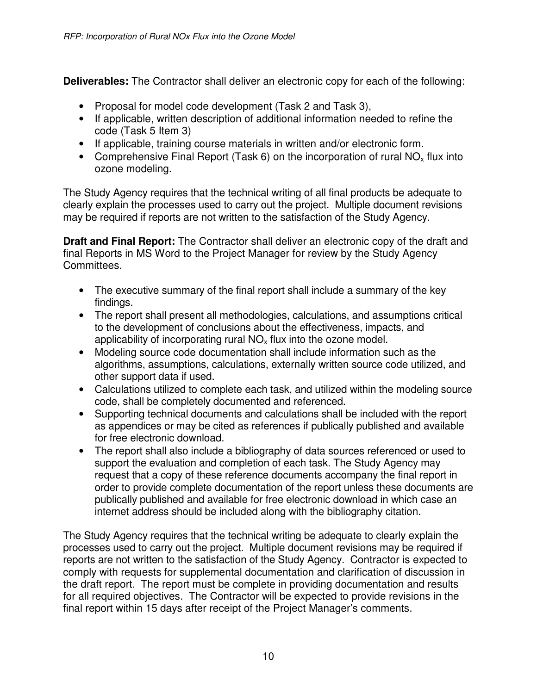**Deliverables:** The Contractor shall deliver an electronic copy for each of the following:

- Proposal for model code development (Task 2 and Task 3),
- If applicable, written description of additional information needed to refine the code (Task 5 Item 3)
- If applicable, training course materials in written and/or electronic form.
- Comprehensive Final Report (Task 6) on the incorporation of rural  $NO<sub>x</sub>$  flux into ozone modeling.

The Study Agency requires that the technical writing of all final products be adequate to clearly explain the processes used to carry out the project. Multiple document revisions may be required if reports are not written to the satisfaction of the Study Agency.

**Draft and Final Report:** The Contractor shall deliver an electronic copy of the draft and final Reports in MS Word to the Project Manager for review by the Study Agency Committees.

- The executive summary of the final report shall include a summary of the key findings.
- The report shall present all methodologies, calculations, and assumptions critical to the development of conclusions about the effectiveness, impacts, and applicability of incorporating rural  $NO<sub>x</sub>$  flux into the ozone model.
- Modeling source code documentation shall include information such as the algorithms, assumptions, calculations, externally written source code utilized, and other support data if used.
- Calculations utilized to complete each task, and utilized within the modeling source code, shall be completely documented and referenced.
- Supporting technical documents and calculations shall be included with the report as appendices or may be cited as references if publically published and available for free electronic download.
- The report shall also include a bibliography of data sources referenced or used to support the evaluation and completion of each task. The Study Agency may request that a copy of these reference documents accompany the final report in order to provide complete documentation of the report unless these documents are publically published and available for free electronic download in which case an internet address should be included along with the bibliography citation.

The Study Agency requires that the technical writing be adequate to clearly explain the processes used to carry out the project. Multiple document revisions may be required if reports are not written to the satisfaction of the Study Agency. Contractor is expected to comply with requests for supplemental documentation and clarification of discussion in the draft report. The report must be complete in providing documentation and results for all required objectives. The Contractor will be expected to provide revisions in the final report within 15 days after receipt of the Project Manager's comments.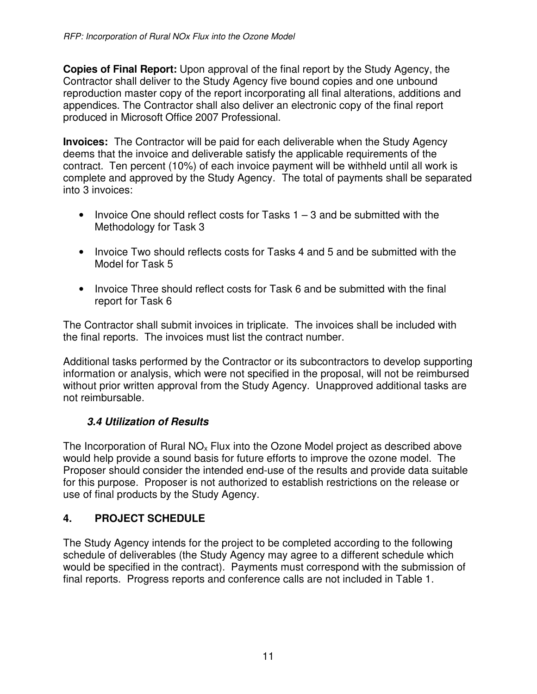**Copies of Final Report:** Upon approval of the final report by the Study Agency, the Contractor shall deliver to the Study Agency five bound copies and one unbound reproduction master copy of the report incorporating all final alterations, additions and appendices. The Contractor shall also deliver an electronic copy of the final report produced in Microsoft Office 2007 Professional.

**Invoices:** The Contractor will be paid for each deliverable when the Study Agency deems that the invoice and deliverable satisfy the applicable requirements of the contract. Ten percent (10%) of each invoice payment will be withheld until all work is complete and approved by the Study Agency. The total of payments shall be separated into 3 invoices:

- Invoice One should reflect costs for Tasks  $1 3$  and be submitted with the Methodology for Task 3
- Invoice Two should reflects costs for Tasks 4 and 5 and be submitted with the Model for Task 5
- Invoice Three should reflect costs for Task 6 and be submitted with the final report for Task 6

The Contractor shall submit invoices in triplicate. The invoices shall be included with the final reports. The invoices must list the contract number.

Additional tasks performed by the Contractor or its subcontractors to develop supporting information or analysis, which were not specified in the proposal, will not be reimbursed without prior written approval from the Study Agency. Unapproved additional tasks are not reimbursable.

### **3.4 Utilization of Results**

The Incorporation of Rural  $NO<sub>x</sub>$  Flux into the Ozone Model project as described above would help provide a sound basis for future efforts to improve the ozone model. The Proposer should consider the intended end-use of the results and provide data suitable for this purpose. Proposer is not authorized to establish restrictions on the release or use of final products by the Study Agency.

## **4. PROJECT SCHEDULE**

The Study Agency intends for the project to be completed according to the following schedule of deliverables (the Study Agency may agree to a different schedule which would be specified in the contract). Payments must correspond with the submission of final reports. Progress reports and conference calls are not included in Table 1.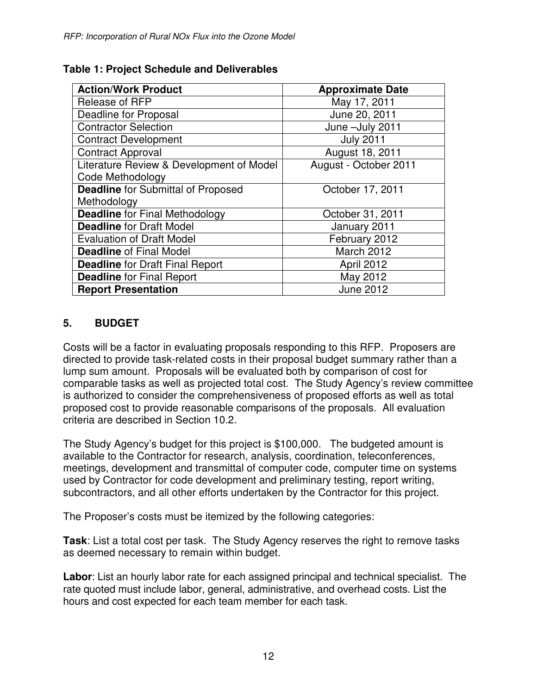| <b>Action/Work Product</b>                | <b>Approximate Date</b> |
|-------------------------------------------|-------------------------|
| Release of RFP                            | May 17, 2011            |
| Deadline for Proposal                     | June 20, 2011           |
| <b>Contractor Selection</b>               | June -July 2011         |
| <b>Contract Development</b>               | <b>July 2011</b>        |
| <b>Contract Approval</b>                  | August 18, 2011         |
| Literature Review & Development of Model  | August - October 2011   |
| Code Methodology                          |                         |
| <b>Deadline</b> for Submittal of Proposed | October 17, 2011        |
| Methodology                               |                         |
| <b>Deadline</b> for Final Methodology     | October 31, 2011        |
| <b>Deadline for Draft Model</b>           | January 2011            |
| <b>Evaluation of Draft Model</b>          | February 2012           |
| <b>Deadline of Final Model</b>            | March 2012              |
| <b>Deadline for Draft Final Report</b>    | April 2012              |
| <b>Deadline for Final Report</b>          | May 2012                |
| <b>Report Presentation</b>                | <b>June 2012</b>        |

### **Table 1: Project Schedule and Deliverables**

### **5. BUDGET**

Costs will be a factor in evaluating proposals responding to this RFP. Proposers are directed to provide task-related costs in their proposal budget summary rather than a lump sum amount. Proposals will be evaluated both by comparison of cost for comparable tasks as well as projected total cost. The Study Agency's review committee is authorized to consider the comprehensiveness of proposed efforts as well as total proposed cost to provide reasonable comparisons of the proposals. All evaluation criteria are described in Section 10.2.

The Study Agency's budget for this project is \$100,000. The budgeted amount is available to the Contractor for research, analysis, coordination, teleconferences, meetings, development and transmittal of computer code, computer time on systems used by Contractor for code development and preliminary testing, report writing, subcontractors, and all other efforts undertaken by the Contractor for this project.

The Proposer's costs must be itemized by the following categories:

**Task**: List a total cost per task. The Study Agency reserves the right to remove tasks as deemed necessary to remain within budget.

**Labor**: List an hourly labor rate for each assigned principal and technical specialist. The rate quoted must include labor, general, administrative, and overhead costs. List the hours and cost expected for each team member for each task.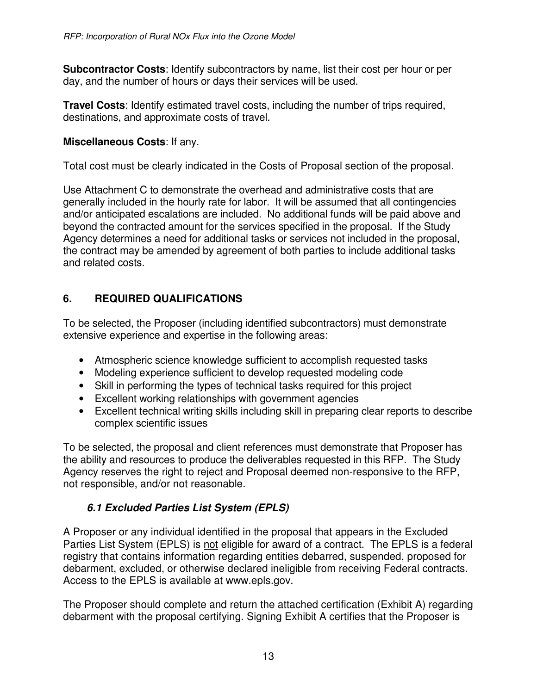**Subcontractor Costs**: Identify subcontractors by name, list their cost per hour or per day, and the number of hours or days their services will be used.

**Travel Costs**: Identify estimated travel costs, including the number of trips required, destinations, and approximate costs of travel.

### **Miscellaneous Costs**: If any.

Total cost must be clearly indicated in the Costs of Proposal section of the proposal.

Use Attachment C to demonstrate the overhead and administrative costs that are generally included in the hourly rate for labor. It will be assumed that all contingencies and/or anticipated escalations are included. No additional funds will be paid above and beyond the contracted amount for the services specified in the proposal. If the Study Agency determines a need for additional tasks or services not included in the proposal, the contract may be amended by agreement of both parties to include additional tasks and related costs.

## **6. REQUIRED QUALIFICATIONS**

To be selected, the Proposer (including identified subcontractors) must demonstrate extensive experience and expertise in the following areas:

- Atmospheric science knowledge sufficient to accomplish requested tasks
- Modeling experience sufficient to develop requested modeling code
- Skill in performing the types of technical tasks required for this project
- Excellent working relationships with government agencies
- Excellent technical writing skills including skill in preparing clear reports to describe complex scientific issues

To be selected, the proposal and client references must demonstrate that Proposer has the ability and resources to produce the deliverables requested in this RFP. The Study Agency reserves the right to reject and Proposal deemed non-responsive to the RFP, not responsible, and/or not reasonable.

## **6.1 Excluded Parties List System (EPLS)**

A Proposer or any individual identified in the proposal that appears in the Excluded Parties List System (EPLS) is not eligible for award of a contract. The EPLS is a federal registry that contains information regarding entities debarred, suspended, proposed for debarment, excluded, or otherwise declared ineligible from receiving Federal contracts. Access to the EPLS is available at www.epls.gov.

The Proposer should complete and return the attached certification (Exhibit A) regarding debarment with the proposal certifying. Signing Exhibit A certifies that the Proposer is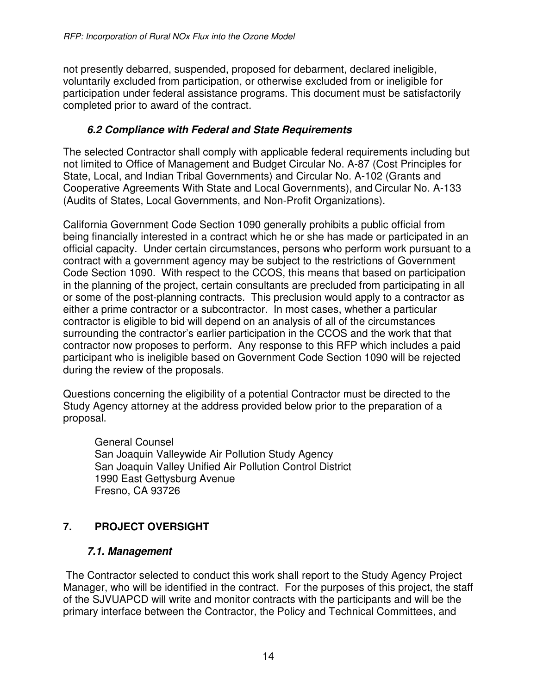not presently debarred, suspended, proposed for debarment, declared ineligible, voluntarily excluded from participation, or otherwise excluded from or ineligible for participation under federal assistance programs. This document must be satisfactorily completed prior to award of the contract.

### **6.2 Compliance with Federal and State Requirements**

The selected Contractor shall comply with applicable federal requirements including but not limited to Office of Management and Budget Circular No. A-87 (Cost Principles for State, Local, and Indian Tribal Governments) and Circular No. A-102 (Grants and Cooperative Agreements With State and Local Governments), and Circular No. A-133 (Audits of States, Local Governments, and Non-Profit Organizations).

California Government Code Section 1090 generally prohibits a public official from being financially interested in a contract which he or she has made or participated in an official capacity. Under certain circumstances, persons who perform work pursuant to a contract with a government agency may be subject to the restrictions of Government Code Section 1090. With respect to the CCOS, this means that based on participation in the planning of the project, certain consultants are precluded from participating in all or some of the post-planning contracts. This preclusion would apply to a contractor as either a prime contractor or a subcontractor. In most cases, whether a particular contractor is eligible to bid will depend on an analysis of all of the circumstances surrounding the contractor's earlier participation in the CCOS and the work that that contractor now proposes to perform. Any response to this RFP which includes a paid participant who is ineligible based on Government Code Section 1090 will be rejected during the review of the proposals.

Questions concerning the eligibility of a potential Contractor must be directed to the Study Agency attorney at the address provided below prior to the preparation of a proposal.

General Counsel San Joaquin Valleywide Air Pollution Study Agency San Joaquin Valley Unified Air Pollution Control District 1990 East Gettysburg Avenue Fresno, CA 93726

# **7. PROJECT OVERSIGHT**

### **7.1. Management**

 The Contractor selected to conduct this work shall report to the Study Agency Project Manager, who will be identified in the contract. For the purposes of this project, the staff of the SJVUAPCD will write and monitor contracts with the participants and will be the primary interface between the Contractor, the Policy and Technical Committees, and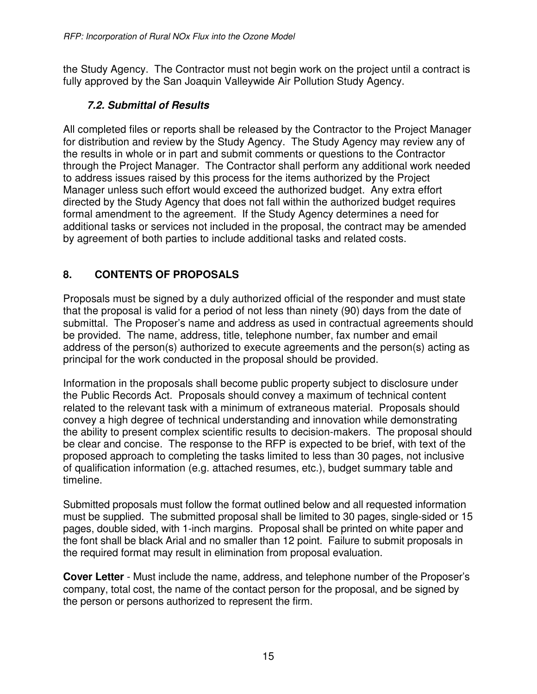the Study Agency. The Contractor must not begin work on the project until a contract is fully approved by the San Joaquin Valleywide Air Pollution Study Agency.

## **7.2. Submittal of Results**

All completed files or reports shall be released by the Contractor to the Project Manager for distribution and review by the Study Agency. The Study Agency may review any of the results in whole or in part and submit comments or questions to the Contractor through the Project Manager. The Contractor shall perform any additional work needed to address issues raised by this process for the items authorized by the Project Manager unless such effort would exceed the authorized budget. Any extra effort directed by the Study Agency that does not fall within the authorized budget requires formal amendment to the agreement. If the Study Agency determines a need for additional tasks or services not included in the proposal, the contract may be amended by agreement of both parties to include additional tasks and related costs.

# **8. CONTENTS OF PROPOSALS**

Proposals must be signed by a duly authorized official of the responder and must state that the proposal is valid for a period of not less than ninety (90) days from the date of submittal. The Proposer's name and address as used in contractual agreements should be provided. The name, address, title, telephone number, fax number and email address of the person(s) authorized to execute agreements and the person(s) acting as principal for the work conducted in the proposal should be provided.

Information in the proposals shall become public property subject to disclosure under the Public Records Act. Proposals should convey a maximum of technical content related to the relevant task with a minimum of extraneous material. Proposals should convey a high degree of technical understanding and innovation while demonstrating the ability to present complex scientific results to decision-makers. The proposal should be clear and concise. The response to the RFP is expected to be brief, with text of the proposed approach to completing the tasks limited to less than 30 pages, not inclusive of qualification information (e.g. attached resumes, etc.), budget summary table and timeline.

Submitted proposals must follow the format outlined below and all requested information must be supplied. The submitted proposal shall be limited to 30 pages, single-sided or 15 pages, double sided, with 1-inch margins. Proposal shall be printed on white paper and the font shall be black Arial and no smaller than 12 point. Failure to submit proposals in the required format may result in elimination from proposal evaluation.

**Cover Letter** - Must include the name, address, and telephone number of the Proposer's company, total cost, the name of the contact person for the proposal, and be signed by the person or persons authorized to represent the firm.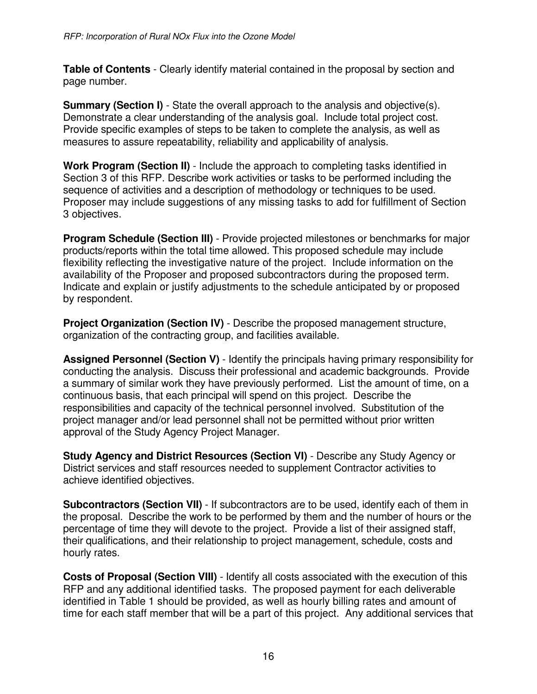**Table of Contents** - Clearly identify material contained in the proposal by section and page number.

**Summary (Section I)** - State the overall approach to the analysis and objective(s). Demonstrate a clear understanding of the analysis goal. Include total project cost. Provide specific examples of steps to be taken to complete the analysis, as well as measures to assure repeatability, reliability and applicability of analysis.

**Work Program (Section II)** - Include the approach to completing tasks identified in Section 3 of this RFP. Describe work activities or tasks to be performed including the sequence of activities and a description of methodology or techniques to be used. Proposer may include suggestions of any missing tasks to add for fulfillment of Section 3 objectives.

**Program Schedule (Section III)** - Provide projected milestones or benchmarks for major products/reports within the total time allowed. This proposed schedule may include flexibility reflecting the investigative nature of the project. Include information on the availability of the Proposer and proposed subcontractors during the proposed term. Indicate and explain or justify adjustments to the schedule anticipated by or proposed by respondent.

**Project Organization (Section IV)** - Describe the proposed management structure, organization of the contracting group, and facilities available.

**Assigned Personnel (Section V)** - Identify the principals having primary responsibility for conducting the analysis. Discuss their professional and academic backgrounds. Provide a summary of similar work they have previously performed. List the amount of time, on a continuous basis, that each principal will spend on this project. Describe the responsibilities and capacity of the technical personnel involved. Substitution of the project manager and/or lead personnel shall not be permitted without prior written approval of the Study Agency Project Manager.

**Study Agency and District Resources (Section VI)** - Describe any Study Agency or District services and staff resources needed to supplement Contractor activities to achieve identified objectives.

**Subcontractors (Section VII)** - If subcontractors are to be used, identify each of them in the proposal. Describe the work to be performed by them and the number of hours or the percentage of time they will devote to the project. Provide a list of their assigned staff, their qualifications, and their relationship to project management, schedule, costs and hourly rates.

**Costs of Proposal (Section VIII)** - Identify all costs associated with the execution of this RFP and any additional identified tasks. The proposed payment for each deliverable identified in Table 1 should be provided, as well as hourly billing rates and amount of time for each staff member that will be a part of this project. Any additional services that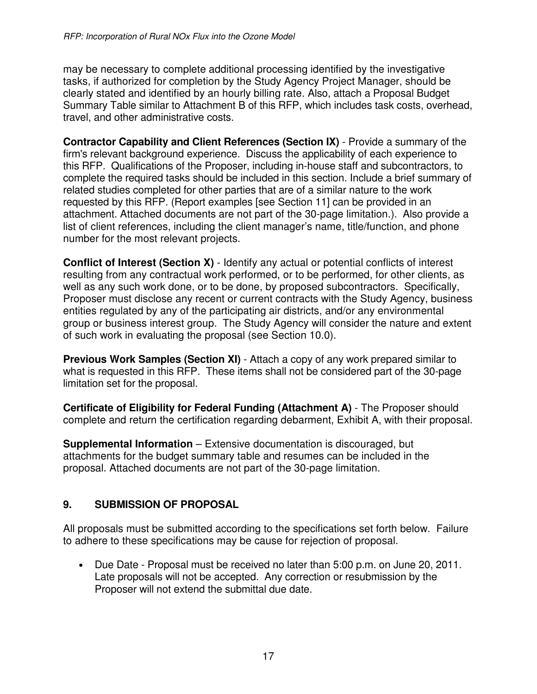may be necessary to complete additional processing identified by the investigative tasks, if authorized for completion by the Study Agency Project Manager, should be clearly stated and identified by an hourly billing rate. Also, attach a Proposal Budget Summary Table similar to Attachment B of this RFP, which includes task costs, overhead, travel, and other administrative costs.

**Contractor Capability and Client References (Section IX)** - Provide a summary of the firm's relevant background experience. Discuss the applicability of each experience to this RFP. Qualifications of the Proposer, including in-house staff and subcontractors, to complete the required tasks should be included in this section. Include a brief summary of related studies completed for other parties that are of a similar nature to the work requested by this RFP. (Report examples [see Section 11] can be provided in an attachment. Attached documents are not part of the 30-page limitation.). Also provide a list of client references, including the client manager's name, title/function, and phone number for the most relevant projects.

**Conflict of Interest (Section X)** - Identify any actual or potential conflicts of interest resulting from any contractual work performed, or to be performed, for other clients, as well as any such work done, or to be done, by proposed subcontractors. Specifically, Proposer must disclose any recent or current contracts with the Study Agency, business entities regulated by any of the participating air districts, and/or any environmental group or business interest group. The Study Agency will consider the nature and extent of such work in evaluating the proposal (see Section 10.0).

**Previous Work Samples (Section XI)** - Attach a copy of any work prepared similar to what is requested in this RFP. These items shall not be considered part of the 30-page limitation set for the proposal.

**Certificate of Eligibility for Federal Funding (Attachment A)** - The Proposer should complete and return the certification regarding debarment, Exhibit A, with their proposal.

**Supplemental Information** – Extensive documentation is discouraged, but attachments for the budget summary table and resumes can be included in the proposal. Attached documents are not part of the 30-page limitation.

### **9. SUBMISSION OF PROPOSAL**

All proposals must be submitted according to the specifications set forth below. Failure to adhere to these specifications may be cause for rejection of proposal.

• Due Date - Proposal must be received no later than 5:00 p.m. on June 20, 2011. Late proposals will not be accepted. Any correction or resubmission by the Proposer will not extend the submittal due date.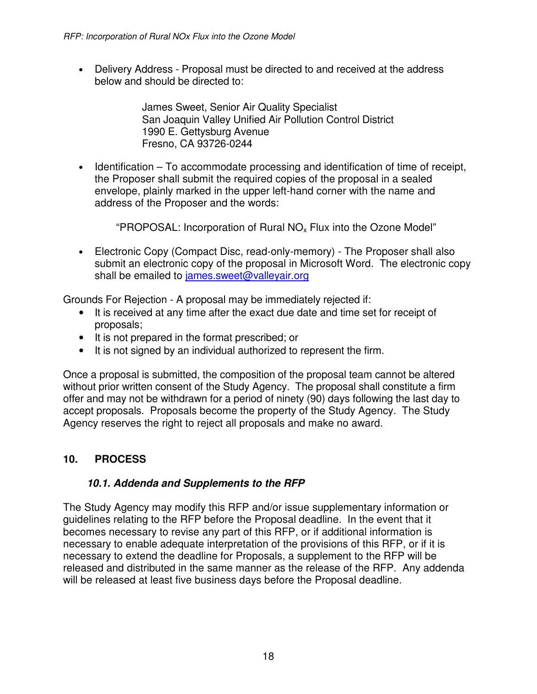• Delivery Address - Proposal must be directed to and received at the address below and should be directed to:

> James Sweet, Senior Air Quality Specialist San Joaquin Valley Unified Air Pollution Control District 1990 E. Gettysburg Avenue Fresno, CA 93726-0244

• Identification – To accommodate processing and identification of time of receipt, the Proposer shall submit the required copies of the proposal in a sealed envelope, plainly marked in the upper left-hand corner with the name and address of the Proposer and the words:

"PROPOSAL: Incorporation of Rural NO<sub>x</sub> Flux into the Ozone Model"

• Electronic Copy (Compact Disc, read-only-memory) - The Proposer shall also submit an electronic copy of the proposal in Microsoft Word. The electronic copy shall be emailed to james.sweet@valleyair.org

Grounds For Rejection - A proposal may be immediately rejected if:

- It is received at any time after the exact due date and time set for receipt of proposals;
- It is not prepared in the format prescribed; or
- It is not signed by an individual authorized to represent the firm.

Once a proposal is submitted, the composition of the proposal team cannot be altered without prior written consent of the Study Agency. The proposal shall constitute a firm offer and may not be withdrawn for a period of ninety (90) days following the last day to accept proposals. Proposals become the property of the Study Agency. The Study Agency reserves the right to reject all proposals and make no award.

### **10. PROCESS**

### **10.1. Addenda and Supplements to the RFP**

The Study Agency may modify this RFP and/or issue supplementary information or guidelines relating to the RFP before the Proposal deadline. In the event that it becomes necessary to revise any part of this RFP, or if additional information is necessary to enable adequate interpretation of the provisions of this RFP, or if it is necessary to extend the deadline for Proposals, a supplement to the RFP will be released and distributed in the same manner as the release of the RFP. Any addenda will be released at least five business days before the Proposal deadline.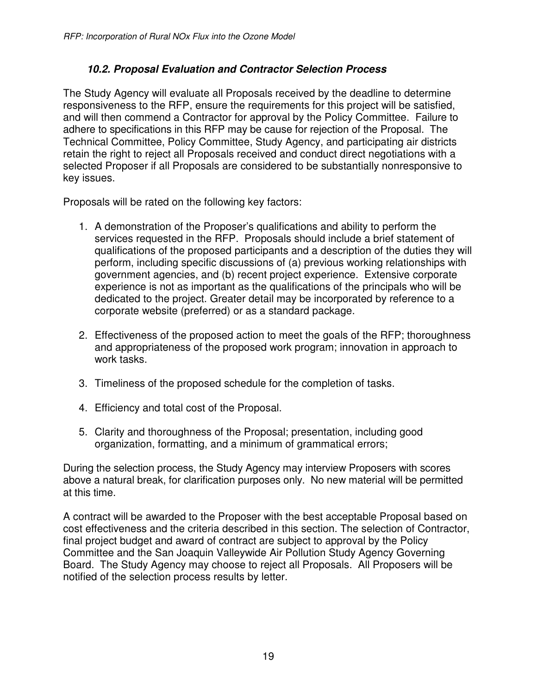### **10.2. Proposal Evaluation and Contractor Selection Process**

The Study Agency will evaluate all Proposals received by the deadline to determine responsiveness to the RFP, ensure the requirements for this project will be satisfied, and will then commend a Contractor for approval by the Policy Committee. Failure to adhere to specifications in this RFP may be cause for rejection of the Proposal. The Technical Committee, Policy Committee, Study Agency, and participating air districts retain the right to reject all Proposals received and conduct direct negotiations with a selected Proposer if all Proposals are considered to be substantially nonresponsive to key issues.

Proposals will be rated on the following key factors:

- 1. A demonstration of the Proposer's qualifications and ability to perform the services requested in the RFP. Proposals should include a brief statement of qualifications of the proposed participants and a description of the duties they will perform, including specific discussions of (a) previous working relationships with government agencies, and (b) recent project experience. Extensive corporate experience is not as important as the qualifications of the principals who will be dedicated to the project. Greater detail may be incorporated by reference to a corporate website (preferred) or as a standard package.
- 2. Effectiveness of the proposed action to meet the goals of the RFP; thoroughness and appropriateness of the proposed work program; innovation in approach to work tasks.
- 3. Timeliness of the proposed schedule for the completion of tasks.
- 4. Efficiency and total cost of the Proposal.
- 5. Clarity and thoroughness of the Proposal; presentation, including good organization, formatting, and a minimum of grammatical errors;

During the selection process, the Study Agency may interview Proposers with scores above a natural break, for clarification purposes only. No new material will be permitted at this time.

A contract will be awarded to the Proposer with the best acceptable Proposal based on cost effectiveness and the criteria described in this section. The selection of Contractor, final project budget and award of contract are subject to approval by the Policy Committee and the San Joaquin Valleywide Air Pollution Study Agency Governing Board. The Study Agency may choose to reject all Proposals. All Proposers will be notified of the selection process results by letter.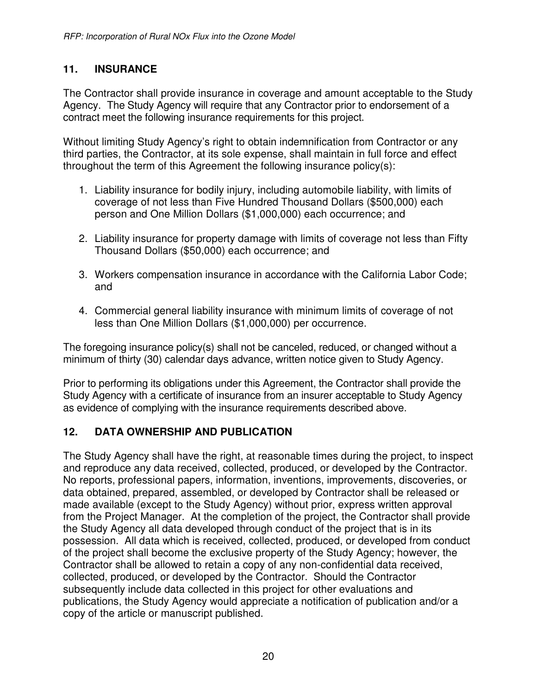### **11. INSURANCE**

The Contractor shall provide insurance in coverage and amount acceptable to the Study Agency. The Study Agency will require that any Contractor prior to endorsement of a contract meet the following insurance requirements for this project.

Without limiting Study Agency's right to obtain indemnification from Contractor or any third parties, the Contractor, at its sole expense, shall maintain in full force and effect throughout the term of this Agreement the following insurance policy(s):

- 1. Liability insurance for bodily injury, including automobile liability, with limits of coverage of not less than Five Hundred Thousand Dollars (\$500,000) each person and One Million Dollars (\$1,000,000) each occurrence; and
- 2. Liability insurance for property damage with limits of coverage not less than Fifty Thousand Dollars (\$50,000) each occurrence; and
- 3. Workers compensation insurance in accordance with the California Labor Code; and
- 4. Commercial general liability insurance with minimum limits of coverage of not less than One Million Dollars (\$1,000,000) per occurrence.

The foregoing insurance policy(s) shall not be canceled, reduced, or changed without a minimum of thirty (30) calendar days advance, written notice given to Study Agency.

Prior to performing its obligations under this Agreement, the Contractor shall provide the Study Agency with a certificate of insurance from an insurer acceptable to Study Agency as evidence of complying with the insurance requirements described above.

### **12. DATA OWNERSHIP AND PUBLICATION**

The Study Agency shall have the right, at reasonable times during the project, to inspect and reproduce any data received, collected, produced, or developed by the Contractor. No reports, professional papers, information, inventions, improvements, discoveries, or data obtained, prepared, assembled, or developed by Contractor shall be released or made available (except to the Study Agency) without prior, express written approval from the Project Manager. At the completion of the project, the Contractor shall provide the Study Agency all data developed through conduct of the project that is in its possession. All data which is received, collected, produced, or developed from conduct of the project shall become the exclusive property of the Study Agency; however, the Contractor shall be allowed to retain a copy of any non-confidential data received, collected, produced, or developed by the Contractor. Should the Contractor subsequently include data collected in this project for other evaluations and publications, the Study Agency would appreciate a notification of publication and/or a copy of the article or manuscript published.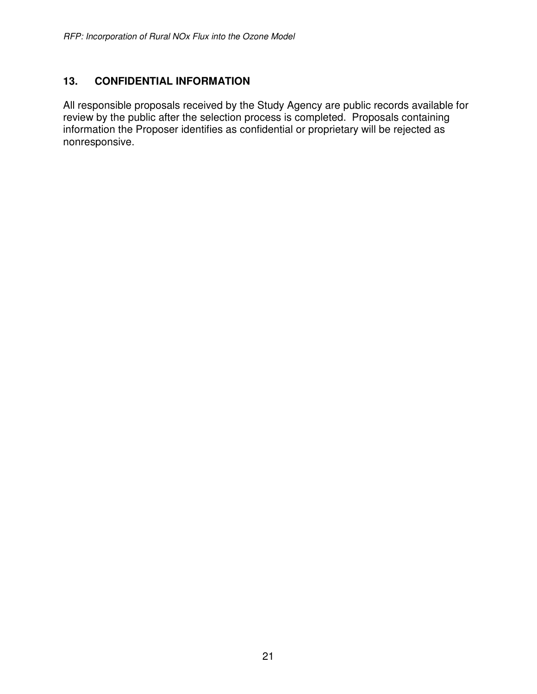### **13. CONFIDENTIAL INFORMATION**

All responsible proposals received by the Study Agency are public records available for review by the public after the selection process is completed. Proposals containing information the Proposer identifies as confidential or proprietary will be rejected as nonresponsive.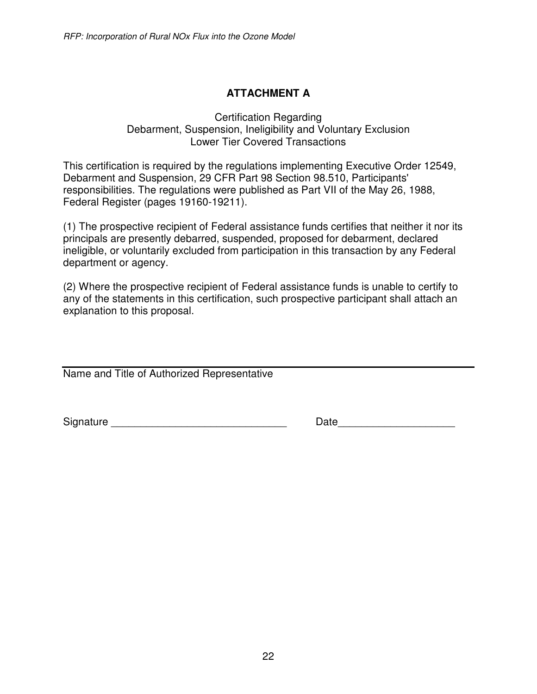## **ATTACHMENT A**

#### Certification Regarding Debarment, Suspension, Ineligibility and Voluntary Exclusion Lower Tier Covered Transactions

This certification is required by the regulations implementing Executive Order 12549, Debarment and Suspension, 29 CFR Part 98 Section 98.510, Participants' responsibilities. The regulations were published as Part VII of the May 26, 1988, Federal Register (pages 19160-19211).

(1) The prospective recipient of Federal assistance funds certifies that neither it nor its principals are presently debarred, suspended, proposed for debarment, declared ineligible, or voluntarily excluded from participation in this transaction by any Federal department or agency.

(2) Where the prospective recipient of Federal assistance funds is unable to certify to any of the statements in this certification, such prospective participant shall attach an explanation to this proposal.

Name and Title of Authorized Representative

Signature \_\_\_\_\_\_\_\_\_\_\_\_\_\_\_\_\_\_\_\_\_\_\_\_\_\_\_\_\_\_ Date\_\_\_\_\_\_\_\_\_\_\_\_\_\_\_\_\_\_\_\_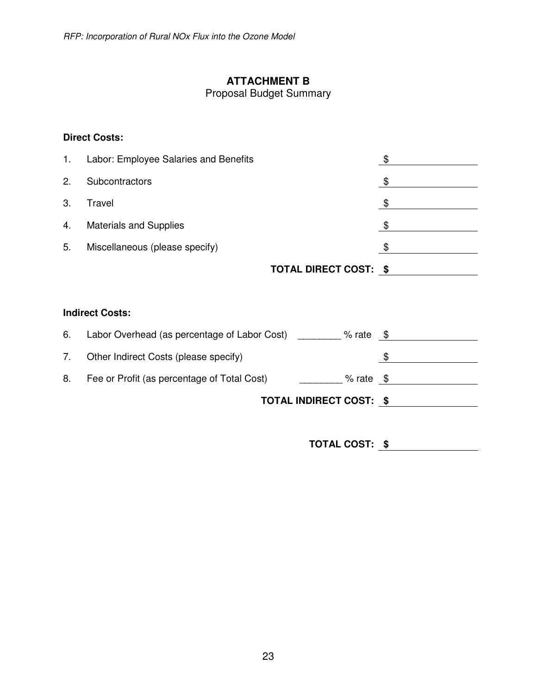## **ATTACHMENT B**

Proposal Budget Summary

#### **Direct Costs:**

| 1. | Labor: Employee Salaries and Benefits |     |
|----|---------------------------------------|-----|
| 2. | Subcontractors                        |     |
| 3. | Travel                                | \$  |
| 4. | <b>Materials and Supplies</b>         | \$. |
| 5. | Miscellaneous (please specify)        |     |
|    |                                       |     |

# **TOTAL DIRECT COST: \$**

#### **Indirect Costs:**

| Other Indirect Costs (please specify)<br>7.                       |  |
|-------------------------------------------------------------------|--|
|                                                                   |  |
| 8.<br>Fee or Profit (as percentage of Total Cost)<br>$%$ rate $$$ |  |
| <b>TOTAL INDIRECT COST: \$</b>                                    |  |

**TOTAL COST: \$**